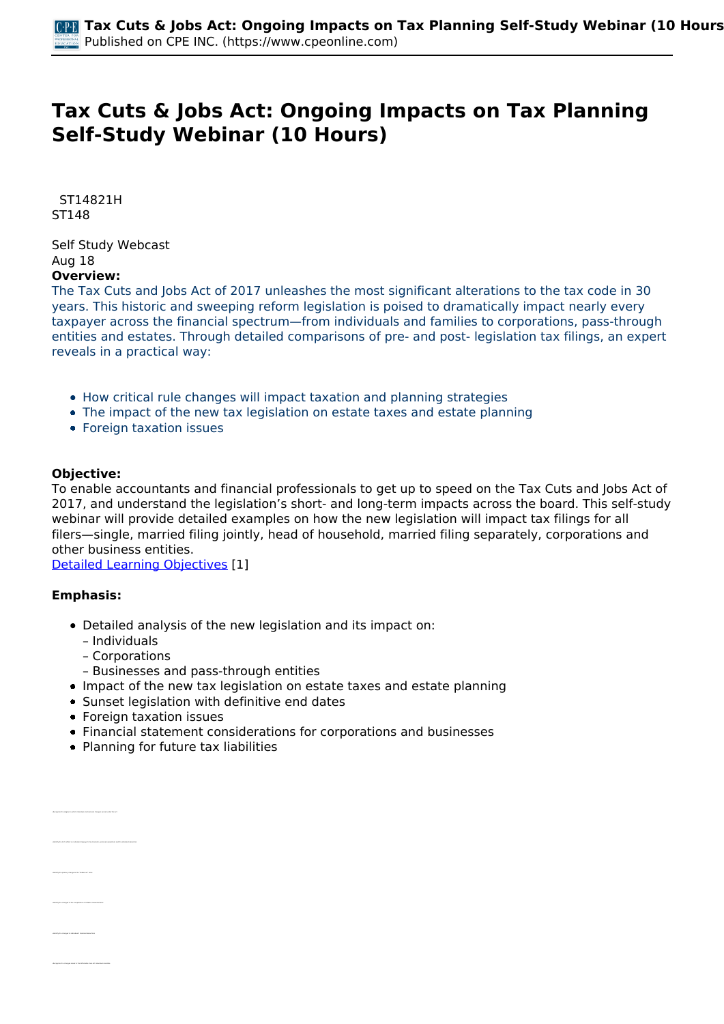# **Tax Cuts & Jobs Act: Ongoing Impacts on Tax Planning Self-Study Webinar (10 Hours)**

 *ST14821H ST148* 

*Self Study Webcast Aug 18*  **Overview:** 

*The Tax Cuts and Jobs Act of 2017 unleashes the most significant alterations to the tax code in 30 years. This historic and sweeping reform legislation is poised to dramatically impact nearly every taxpayer across the financial spectrum—from individuals and families to corporations, pass-through entities and estates. Through detailed comparisons of pre- and post- legislation tax filings, an expert reveals in a practical way:*

- *How critical rule changes will impact taxation and planning strategies*
- *The impact of the new tax legislation on estate taxes and estate planning*
- *Foreign taxation issues*

# **Objective:**

*To enable accountants and financial professionals to get up to speed on the Tax Cuts and Jobs Act of 2017, and understand the legislation's short- and long-term impacts across the board. This self-study webinar will provide detailed examples on how the new legislation will impact tax filings for all filers—single, married filing jointly, head of household, married filing separately, corporations and other business entities.*

*[Detailed Learning Objectives](https://www.cpeonline.com/JavaScript:showObjectivesPopup();) [1]*

## **Emphasis:**

- *Detailed analysis of the new legislation and its impact on:*
	- *Individuals*
	- *Corporations*
	- *Businesses and pass-through entities*
- *Impact of the new tax legislation on estate taxes and estate planning*
- *Sunset legislation with definitive end dates*
- *Foreign taxation issues*
- *Financial statement considerations for corporations and businesses*
- *Planning for future tax liabilities*

| . Recognize the desires to which individual and business changes support under the Art                      |
|-------------------------------------------------------------------------------------------------------------|
|                                                                                                             |
|                                                                                                             |
|                                                                                                             |
|                                                                                                             |
|                                                                                                             |
| . Martilly the Art's effect on Individual temperature locations, personal everytions and the standard deduc |
|                                                                                                             |
|                                                                                                             |
|                                                                                                             |
|                                                                                                             |
|                                                                                                             |
|                                                                                                             |

*• Identify the changes to the computation of inflation measurements*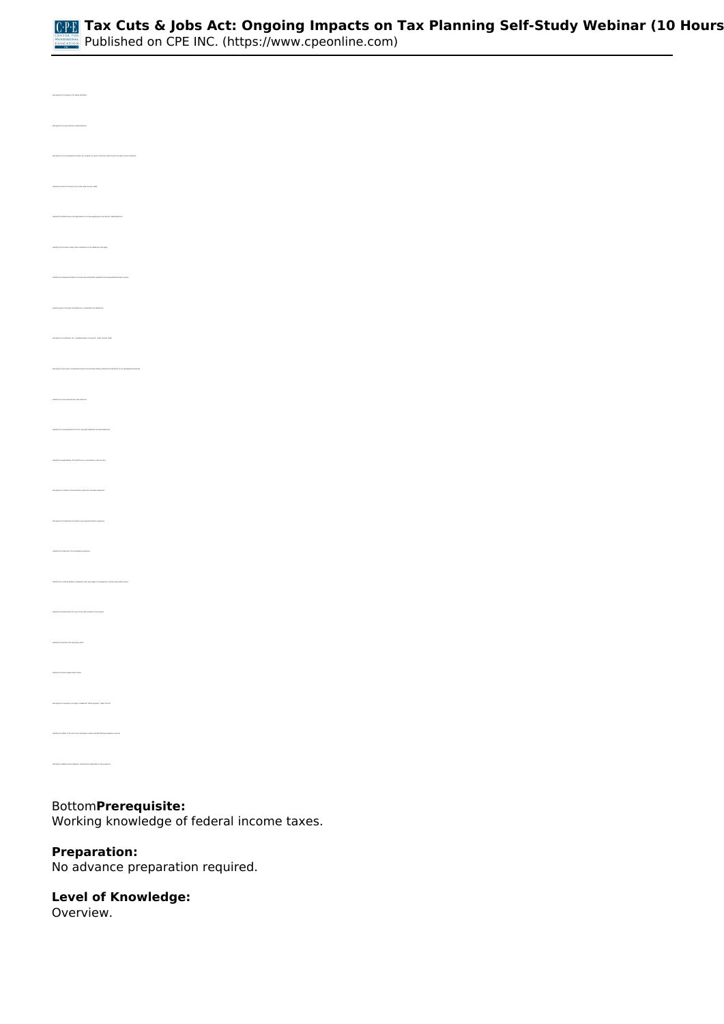

*• Recognize the new child tax credit limitation • Recognize the overall approach taken by Congress to give income tax relief to pass-through income recipients • Identify the basic formula for tax relief under Section 199A • Identify the scenarios under which limitations to the deduction will apply • Identify types of income excluded from consideration for deduction • Recognize the definition of a "qualified trade or business" under Section 199A • Identify the new corporate tax rate structure • Identify the new parameters for the corporate dividends received deduction • Identify the applicability of the AMT tax on corporations under the Act • Recognize the status of the domestic production activities deduction • Identify the treatment of local lobbying expenses • Identify the credit available to employers who pay wages to employees on family and medical leave • Identify the bonus depreciation limits • Recognize the property no longer considered "listed property" under the Act*

# *Bottom***Prerequisite:**

*Working knowledge of federal income taxes.*

# **Preparation:**

*No advance preparation required.*

## **Level of Knowledge:**

*Overview.*